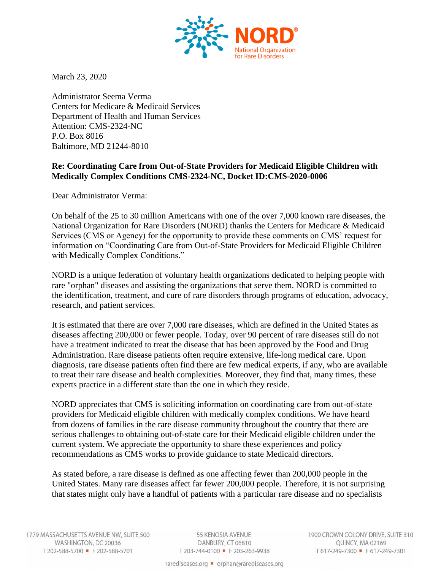

March 23, 2020

Administrator Seema Verma Centers for Medicare & Medicaid Services Department of Health and Human Services Attention: CMS-2324-NC P.O. Box 8016 Baltimore, MD 21244-8010

### **Re: Coordinating Care from Out-of-State Providers for Medicaid Eligible Children with Medically Complex Conditions CMS-2324-NC, Docket ID:CMS-2020-0006**

Dear Administrator Verma:

On behalf of the 25 to 30 million Americans with one of the over 7,000 known rare diseases, the National Organization for Rare Disorders (NORD) thanks the Centers for Medicare & Medicaid Services (CMS or Agency) for the opportunity to provide these comments on CMS' request for information on "Coordinating Care from Out-of-State Providers for Medicaid Eligible Children with Medically Complex Conditions."

NORD is a unique federation of voluntary health organizations dedicated to helping people with rare "orphan" diseases and assisting the organizations that serve them. NORD is committed to the identification, treatment, and cure of rare disorders through programs of education, advocacy, research, and patient services.

It is estimated that there are over 7,000 rare diseases, which are defined in the United States as diseases affecting 200,000 or fewer people. Today, over 90 percent of rare diseases still do not have a treatment indicated to treat the disease that has been approved by the Food and Drug Administration. Rare disease patients often require extensive, life-long medical care. Upon diagnosis, rare disease patients often find there are few medical experts, if any, who are available to treat their rare disease and health complexities. Moreover, they find that, many times, these experts practice in a different state than the one in which they reside.

NORD appreciates that CMS is soliciting information on coordinating care from out-of-state providers for Medicaid eligible children with medically complex conditions. We have heard from dozens of families in the rare disease community throughout the country that there are serious challenges to obtaining out-of-state care for their Medicaid eligible children under the current system. We appreciate the opportunity to share these experiences and policy recommendations as CMS works to provide guidance to state Medicaid directors.

As stated before, a rare disease is defined as one affecting fewer than 200,000 people in the United States. Many rare diseases affect far fewer 200,000 people. Therefore, it is not surprising that states might only have a handful of patients with a particular rare disease and no specialists

55 KENOSIA AVENUE DANBURY, CT 06810 T 203-744-0100 F 203-263-9938 1900 CROWN COLONY DRIVE, SUITE 310 QUINCY, MA 02169 T617-249-7300 F617-249-7301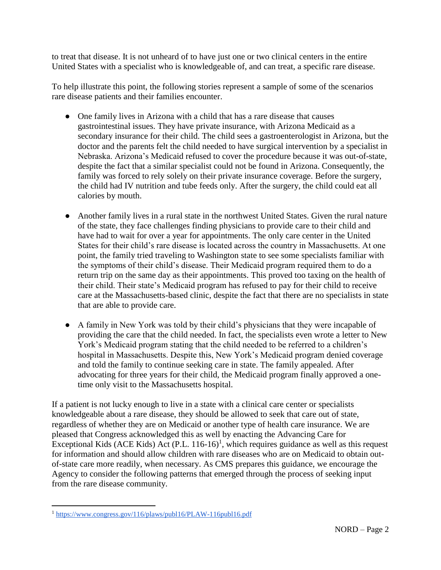to treat that disease. It is not unheard of to have just one or two clinical centers in the entire United States with a specialist who is knowledgeable of, and can treat, a specific rare disease.

To help illustrate this point, the following stories represent a sample of some of the scenarios rare disease patients and their families encounter.

- One family lives in Arizona with a child that has a rare disease that causes gastrointestinal issues. They have private insurance, with Arizona Medicaid as a secondary insurance for their child. The child sees a gastroenterologist in Arizona, but the doctor and the parents felt the child needed to have surgical intervention by a specialist in Nebraska. Arizona's Medicaid refused to cover the procedure because it was out-of-state, despite the fact that a similar specialist could not be found in Arizona. Consequently, the family was forced to rely solely on their private insurance coverage. Before the surgery, the child had IV nutrition and tube feeds only. After the surgery, the child could eat all calories by mouth.
- Another family lives in a rural state in the northwest United States. Given the rural nature of the state, they face challenges finding physicians to provide care to their child and have had to wait for over a year for appointments. The only care center in the United States for their child's rare disease is located across the country in Massachusetts. At one point, the family tried traveling to Washington state to see some specialists familiar with the symptoms of their child's disease. Their Medicaid program required them to do a return trip on the same day as their appointments. This proved too taxing on the health of their child. Their state's Medicaid program has refused to pay for their child to receive care at the Massachusetts-based clinic, despite the fact that there are no specialists in state that are able to provide care.
- A family in New York was told by their child's physicians that they were incapable of providing the care that the child needed. In fact, the specialists even wrote a letter to New York's Medicaid program stating that the child needed to be referred to a children's hospital in Massachusetts. Despite this, New York's Medicaid program denied coverage and told the family to continue seeking care in state. The family appealed. After advocating for three years for their child, the Medicaid program finally approved a onetime only visit to the Massachusetts hospital.

If a patient is not lucky enough to live in a state with a clinical care center or specialists knowledgeable about a rare disease, they should be allowed to seek that care out of state, regardless of whether they are on Medicaid or another type of health care insurance. We are pleased that Congress acknowledged this as well by enacting the Advancing Care for Exceptional Kids (ACE Kids) Act  $(P.L. 116-16)^1$ , which requires guidance as well as this request for information and should allow children with rare diseases who are on Medicaid to obtain outof-state care more readily, when necessary. As CMS prepares this guidance, we encourage the Agency to consider the following patterns that emerged through the process of seeking input from the rare disease community.

 $\overline{a}$ <sup>1</sup> <https://www.congress.gov/116/plaws/publ16/PLAW-116publ16.pdf>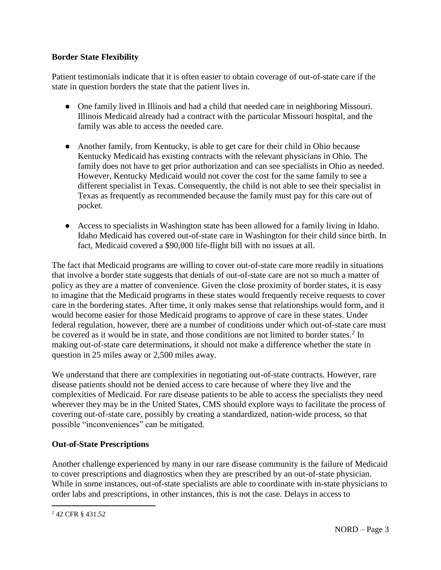#### **Border State Flexibility**

Patient testimonials indicate that it is often easier to obtain coverage of out-of-state care if the state in question borders the state that the patient lives in.

- One family lived in Illinois and had a child that needed care in neighboring Missouri. Illinois Medicaid already had a contract with the particular Missouri hospital, and the family was able to access the needed care.
- Another family, from Kentucky, is able to get care for their child in Ohio because Kentucky Medicaid has existing contracts with the relevant physicians in Ohio. The family does not have to get prior authorization and can see specialists in Ohio as needed. However, Kentucky Medicaid would not cover the cost for the same family to see a different specialist in Texas. Consequently, the child is not able to see their specialist in Texas as frequently as recommended because the family must pay for this care out of pocket.
- Access to specialists in Washington state has been allowed for a family living in Idaho. Idaho Medicaid has covered out-of-state care in Washington for their child since birth. In fact, Medicaid covered a \$90,000 life-flight bill with no issues at all.

The fact that Medicaid programs are willing to cover out-of-state care more readily in situations that involve a border state suggests that denials of out-of-state care are not so much a matter of policy as they are a matter of convenience. Given the close proximity of border states, it is easy to imagine that the Medicaid programs in these states would frequently receive requests to cover care in the bordering states. After time, it only makes sense that relationships would form, and it would become easier for those Medicaid programs to approve of care in these states. Under federal regulation, however, there are a number of conditions under which out-of-state care must be covered as it would be in state, and those conditions are not limited to border states.<sup>2</sup> In making out-of-state care determinations, it should not make a difference whether the state in question in 25 miles away or 2,500 miles away.

We understand that there are complexities in negotiating out-of-state contracts. However, rare disease patients should not be denied access to care because of where they live and the complexities of Medicaid. For rare disease patients to be able to access the specialists they need wherever they may be in the United States, CMS should explore ways to facilitate the process of covering out-of-state care, possibly by creating a standardized, nation-wide process, so that possible "inconveniences" can be mitigated.

#### **Out-of-State Prescriptions**

Another challenge experienced by many in our rare disease community is the failure of Medicaid to cover prescriptions and diagnostics when they are prescribed by an out-of-state physician. While in some instances, out-of-state specialists are able to coordinate with in-state physicians to order labs and prescriptions, in other instances, this is not the case. Delays in access to

 $\overline{a}$ 

<sup>2</sup> 42 CFR § 431.52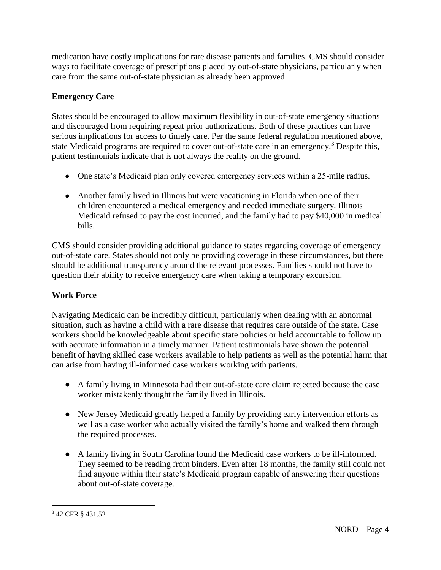medication have costly implications for rare disease patients and families. CMS should consider ways to facilitate coverage of prescriptions placed by out-of-state physicians, particularly when care from the same out-of-state physician as already been approved.

## **Emergency Care**

States should be encouraged to allow maximum flexibility in out-of-state emergency situations and discouraged from requiring repeat prior authorizations. Both of these practices can have serious implications for access to timely care. Per the same federal regulation mentioned above, state Medicaid programs are required to cover out-of-state care in an emergency.<sup>3</sup> Despite this, patient testimonials indicate that is not always the reality on the ground.

- One state's Medicaid plan only covered emergency services within a 25-mile radius.
- Another family lived in Illinois but were vacationing in Florida when one of their children encountered a medical emergency and needed immediate surgery. Illinois Medicaid refused to pay the cost incurred, and the family had to pay \$40,000 in medical bills.

CMS should consider providing additional guidance to states regarding coverage of emergency out-of-state care. States should not only be providing coverage in these circumstances, but there should be additional transparency around the relevant processes. Families should not have to question their ability to receive emergency care when taking a temporary excursion.

# **Work Force**

Navigating Medicaid can be incredibly difficult, particularly when dealing with an abnormal situation, such as having a child with a rare disease that requires care outside of the state. Case workers should be knowledgeable about specific state policies or held accountable to follow up with accurate information in a timely manner. Patient testimonials have shown the potential benefit of having skilled case workers available to help patients as well as the potential harm that can arise from having ill-informed case workers working with patients.

- A family living in Minnesota had their out-of-state care claim rejected because the case worker mistakenly thought the family lived in Illinois.
- New Jersey Medicaid greatly helped a family by providing early intervention efforts as well as a case worker who actually visited the family's home and walked them through the required processes.
- A family living in South Carolina found the Medicaid case workers to be ill-informed. They seemed to be reading from binders. Even after 18 months, the family still could not find anyone within their state's Medicaid program capable of answering their questions about out-of-state coverage.

 $\overline{a}$ <sup>3</sup> 42 CFR § 431.52